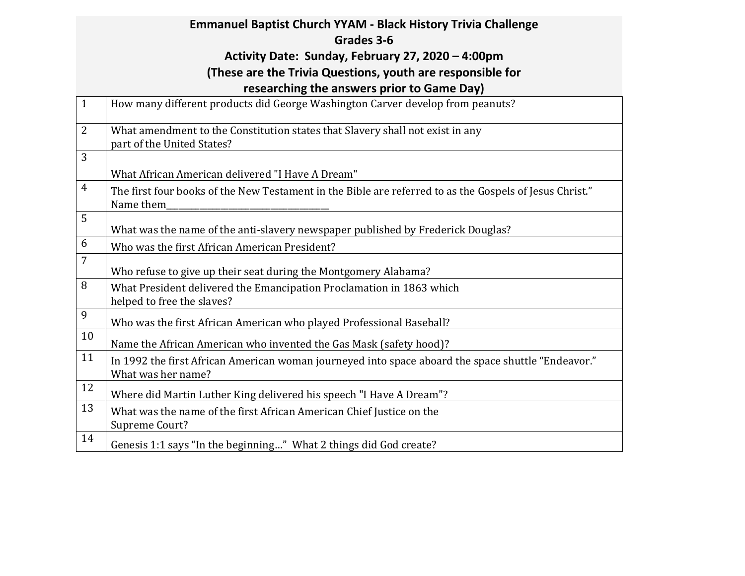|                | <b>Emmanuel Baptist Church YYAM - Black History Trivia Challenge</b>                                                     |  |  |  |  |
|----------------|--------------------------------------------------------------------------------------------------------------------------|--|--|--|--|
|                | Grades 3-6                                                                                                               |  |  |  |  |
|                | Activity Date: Sunday, February 27, 2020 - 4:00pm                                                                        |  |  |  |  |
|                | (These are the Trivia Questions, youth are responsible for                                                               |  |  |  |  |
|                | researching the answers prior to Game Day)                                                                               |  |  |  |  |
| $\mathbf{1}$   | How many different products did George Washington Carver develop from peanuts?                                           |  |  |  |  |
| $\overline{2}$ | What amendment to the Constitution states that Slavery shall not exist in any<br>part of the United States?              |  |  |  |  |
| 3              |                                                                                                                          |  |  |  |  |
|                | What African American delivered "I Have A Dream"                                                                         |  |  |  |  |
| $\overline{4}$ | The first four books of the New Testament in the Bible are referred to as the Gospels of Jesus Christ."<br>Name them     |  |  |  |  |
| 5              | What was the name of the anti-slavery newspaper published by Frederick Douglas?                                          |  |  |  |  |
| 6              | Who was the first African American President?                                                                            |  |  |  |  |
| 7              | Who refuse to give up their seat during the Montgomery Alabama?                                                          |  |  |  |  |
| 8              | What President delivered the Emancipation Proclamation in 1863 which<br>helped to free the slaves?                       |  |  |  |  |
| 9              | Who was the first African American who played Professional Baseball?                                                     |  |  |  |  |
| 10             | Name the African American who invented the Gas Mask (safety hood)?                                                       |  |  |  |  |
| 11             | In 1992 the first African American woman journeyed into space aboard the space shuttle "Endeavor."<br>What was her name? |  |  |  |  |
| 12             | Where did Martin Luther King delivered his speech "I Have A Dream"?                                                      |  |  |  |  |
| 13             | What was the name of the first African American Chief Justice on the<br>Supreme Court?                                   |  |  |  |  |
| 14             | Genesis 1:1 says "In the beginning" What 2 things did God create?                                                        |  |  |  |  |